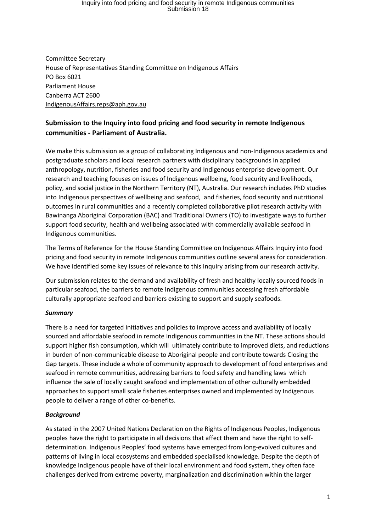Committee Secretary House of Representatives Standing Committee on Indigenous Affairs PO Box 6021 Parliament House Canberra ACT 2600 [IndigenousAffairs.reps@aph.gov.au](mailto:IndigenousAffairs.reps@aph.gov.au)

### **Submission to the Inquiry into food pricing and food security in remote Indigenous communities - Parliament of Australia.**

We make this submission as a group of collaborating Indigenous and non-Indigenous academics and postgraduate scholars and local research partners with disciplinary backgrounds in applied anthropology, nutrition, fisheries and food security and Indigenous enterprise development. Our research and teaching focuses on issues of Indigenous wellbeing, food security and livelihoods, policy, and social justice in the Northern Territory (NT), Australia. Our research includes PhD studies into Indigenous perspectives of wellbeing and seafood, and fisheries, food security and nutritional outcomes in rural communities and a recently completed collaborative pilot research activity with Bawinanga Aboriginal Corporation (BAC) and Traditional Owners (TO) to investigate ways to further support food security, health and wellbeing associated with commercially available seafood in Indigenous communities.

The Terms of Reference for the House Standing Committee on Indigenous Affairs Inquiry into food pricing and food security in remote Indigenous communities outline several areas for consideration. We have identified some key issues of relevance to this Inquiry arising from our research activity.

Our submission relates to the demand and availability of fresh and healthy locally sourced foods in particular seafood, the barriers to remote Indigenous communities accessing fresh affordable culturally appropriate seafood and barriers existing to support and supply seafoods.

### *Summary*

There is a need for targeted initiatives and policies to improve access and availability of locally sourced and affordable seafood in remote Indigenous communities in the NT. These actions should support higher fish consumption, which will ultimately contribute to improved diets, and reductions in burden of non-communicable disease to Aboriginal people and contribute towards Closing the Gap targets. These include a whole of community approach to development of food enterprises and seafood in remote communities, addressing barriers to food safety and handling laws which influence the sale of locally caught seafood and implementation of other culturally embedded approaches to support small scale fisheries enterprises owned and implemented by Indigenous people to deliver a range of other co-benefits.

### *Background*

As stated in the 2007 United Nations Declaration on the Rights of Indigenous Peoples, Indigenous peoples have the right to participate in all decisions that affect them and have the right to selfdetermination. Indigenous Peoples' food systems have emerged from long-evolved cultures and patterns of living in local ecosystems and embedded specialised knowledge. Despite the depth of knowledge Indigenous people have of their local environment and food system, they often face challenges derived from extreme poverty, marginalization and discrimination within the larger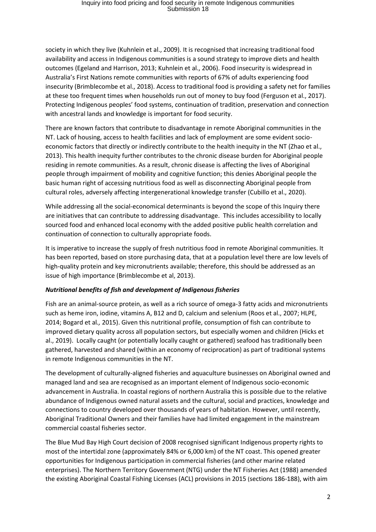society in which they live (Kuhnlein et al., 2009). It is recognised that increasing traditional food availability and access in Indigenous communities is a sound strategy to improve diets and health outcomes (Egeland and Harrison, 2013; Kuhnlein et al., 2006). Food insecurity is widespread in Australia's First Nations remote communities with reports of 67% of adults experiencing food insecurity (Brimblecombe et al., 2018). Access to traditional food is providing a safety net for families at these too frequent times when households run out of money to buy food (Ferguson et al., 2017). Protecting Indigenous peoples' food systems, continuation of tradition, preservation and connection with ancestral lands and knowledge is important for food security.

There are known factors that contribute to disadvantage in remote Aboriginal communities in the NT. Lack of housing, access to health facilities and lack of employment are some evident socioeconomic factors that directly or indirectly contribute to the health inequity in the NT (Zhao et al., 2013). This health inequity further contributes to the chronic disease burden for Aboriginal people residing in remote communities. As a result, chronic disease is affecting the lives of Aboriginal people through impairment of mobility and cognitive function; this denies Aboriginal people the basic human right of accessing nutritious food as well as disconnecting Aboriginal people from cultural roles, adversely affecting intergenerational knowledge transfer (Cubillo et al., 2020).

While addressing all the social-economical determinants is beyond the scope of this Inquiry there are initiatives that can contribute to addressing disadvantage. This includes accessibility to locally sourced food and enhanced local economy with the added positive public health correlation and continuation of connection to culturally appropriate foods.

It is imperative to increase the supply of fresh nutritious food in remote Aboriginal communities. It has been reported, based on store purchasing data, that at a population level there are low levels of high-quality protein and key micronutrients available; therefore, this should be addressed as an issue of high importance (Brimblecombe et al, 2013).

### *Nutritional benefits of fish and development of Indigenous fisheries*

Fish are an animal-source protein, as well as a rich source of omega-3 fatty acids and micronutrients such as heme iron, iodine, vitamins A, B12 and D, calcium and selenium (Roos et al., 2007; HLPE, 2014; Bogard et al*.,* 2015). Given this nutritional profile, consumption of fish can contribute to improved dietary quality across all population sectors, but especially women and children (Hicks et al., 2019). Locally caught (or potentially locally caught or gathered) seafood has traditionally been gathered, harvested and shared (within an economy of reciprocation) as part of traditional systems in remote Indigenous communities in the NT.

The development of culturally-aligned fisheries and aquaculture businesses on Aboriginal owned and managed land and sea are recognised as an important element of Indigenous socio-economic advancement in Australia. In coastal regions of northern Australia this is possible due to the relative abundance of Indigenous owned natural assets and the cultural, social and practices, knowledge and connections to country developed over thousands of years of habitation. However, until recently, Aboriginal Traditional Owners and their families have had limited engagement in the mainstream commercial coastal fisheries sector.

The Blue Mud Bay High Court decision of 2008 recognised significant Indigenous property rights to most of the intertidal zone (approximately 84% or 6,000 km) of the NT coast. This opened greater opportunities for Indigenous participation in commercial fisheries (and other marine related enterprises). The Northern Territory Government (NTG) under the NT Fisheries Act (1988) amended the existing Aboriginal Coastal Fishing Licenses (ACL) provisions in 2015 (sections 186-188), with aim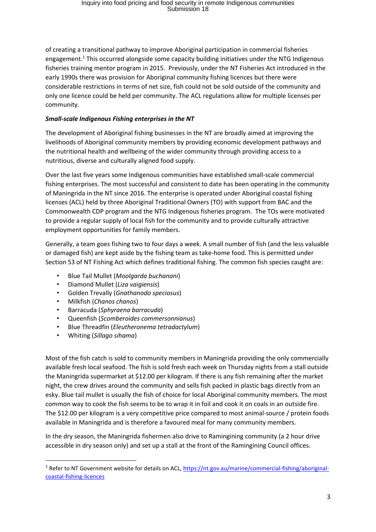of creating a transitional pathway to improve Aboriginal participation in commercial fisheries engagement.<sup>1</sup> This occurred alongside some capacity building initiatives under the NTG Indigenous fisheries training mentor program in 2015. Previously, under the NT Fisheries Act introduced in the early 1990s there was provision for Aboriginal community fishing licences but there were considerable restrictions in terms of net size, fish could not be sold outside of the community and only one licence could be held per community. The ACL regulations allow for multiple licenses per community.

### *Small-scale Indigenous Fishing enterprises in the NT*

The development of Aboriginal fishing businesses in the NT are broadly aimed at improving the livelihoods of Aboriginal community members by providing economic development pathways and the nutritional health and wellbeing of the wider community through providing access to a nutritious, diverse and culturally aligned food supply.

Over the last five years some Indigenous communities have established small-scale commercial fishing enterprises. The most successful and consistent to date has been operating in the community of Maningrida in the NT since 2016. The enterprise is operated under Aboriginal coastal fishing licenses (ACL) held by three Aboriginal Traditional Owners (TO) with support from BAC and the Commonwealth CDP program and the NTG Indigenous fisheries program. The TOs were motivated to provide a regular supply of local fish for the community and to provide culturally attractive employment opportunities for family members.

Generally, a team goes fishing two to four days a week. A small number of fish (and the less valuable or damaged fish) are kept aside by the fishing team as take-home food. This is permitted under Section 53 of NT Fishing Act which defines traditional fishing. The common fish species caught are:

- Blue Tail Mullet (*Moolgarda buchanani*)
- Diamond Mullet (*Liza vaigiensis*)
- Golden Trevally (*Gnathanodo speciosus*)
- Milkfish (*Chanos chanos*)
- Barracuda (*Sphyraena barracuda*)
- Queenfish (*Scomberoides commersonnianus*)
- Blue Threadfin (*Eleutheronema tetradactylum*)
- Whiting (*Sillago sihama*)

**.** 

Most of the fish catch is sold to community members in Maningrida providing the only commercially available fresh local seafood. The fish is sold fresh each week on Thursday nights from a stall outside the Maningrida supermarket at \$12.00 per kilogram. If there is any fish remaining after the market night, the crew drives around the community and sells fish packed in plastic bags directly from an esky. Blue tail mullet is usually the fish of choice for local Aboriginal community members. The most common way to cook the fish seems to be to wrap it in foil and cook it on coals in an outside fire. The \$12.00 per kilogram is a very competitive price compared to most animal-source / protein foods available in Maningrida and is therefore a favoured meal for many community members.

In the dry season, the Maningrida fishermen also drive to Ramingining community (a 2 hour drive accessible in dry season only) and set up a stall at the front of the Ramingining Council offices.

<sup>1</sup> Refer to NT Government website for details on ACL, [https://nt.gov.au/marine/commercial-fishing/aboriginal](https://nt.gov.au/marine/commercial-fishing/aboriginal-coastal-fishing-licences)[coastal-fishing-licences](https://nt.gov.au/marine/commercial-fishing/aboriginal-coastal-fishing-licences)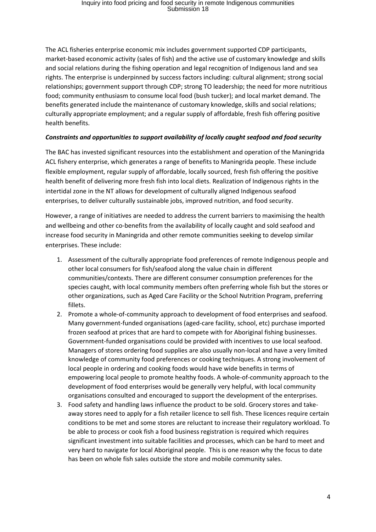The ACL fisheries enterprise economic mix includes government supported CDP participants, market-based economic activity (sales of fish) and the active use of customary knowledge and skills and social relations during the fishing operation and legal recognition of Indigenous land and sea rights. The enterprise is underpinned by success factors including: cultural alignment; strong social relationships; government support through CDP; strong TO leadership; the need for more nutritious food; community enthusiasm to consume local food (bush tucker); and local market demand. The benefits generated include the maintenance of customary knowledge, skills and social relations; culturally appropriate employment; and a regular supply of affordable, fresh fish offering positive health benefits.

### *Constraints and opportunities to support availability of locally caught seafood and food security*

The BAC has invested significant resources into the establishment and operation of the Maningrida ACL fishery enterprise, which generates a range of benefits to Maningrida people. These include flexible employment, regular supply of affordable, locally sourced, fresh fish offering the positive health benefit of delivering more fresh fish into local diets. Realization of Indigenous rights in the intertidal zone in the NT allows for development of culturally aligned Indigenous seafood enterprises, to deliver culturally sustainable jobs, improved nutrition, and food security.

However, a range of initiatives are needed to address the current barriers to maximising the health and wellbeing and other co-benefits from the availability of locally caught and sold seafood and increase food security in Maningrida and other remote communities seeking to develop similar enterprises. These include:

- 1. Assessment of the culturally appropriate food preferences of remote Indigenous people and other local consumers for fish/seafood along the value chain in different communities/contexts. There are different consumer consumption preferences for the species caught, with local community members often preferring whole fish but the stores or other organizations, such as Aged Care Facility or the School Nutrition Program, preferring fillets.
- 2. Promote a whole-of-community approach to development of food enterprises and seafood. Many government-funded organisations (aged-care facility, school, etc) purchase imported frozen seafood at prices that are hard to compete with for Aboriginal fishing businesses. Government-funded organisations could be provided with incentives to use local seafood. Managers of stores ordering food supplies are also usually non-local and have a very limited knowledge of community food preferences or cooking techniques. A strong involvement of local people in ordering and cooking foods would have wide benefits in terms of empowering local people to promote healthy foods. A whole-of-community approach to the development of food enterprises would be generally very helpful, with local community organisations consulted and encouraged to support the development of the enterprises.
- 3. Food safety and handling laws influence the product to be sold. Grocery stores and takeaway stores need to apply for a fish retailer licence to sell fish. These licences require certain conditions to be met and some stores are reluctant to increase their regulatory workload. To be able to process or cook fish a food business registration is required which requires significant investment into suitable facilities and processes, which can be hard to meet and very hard to navigate for local Aboriginal people. This is one reason why the focus to date has been on whole fish sales outside the store and mobile community sales.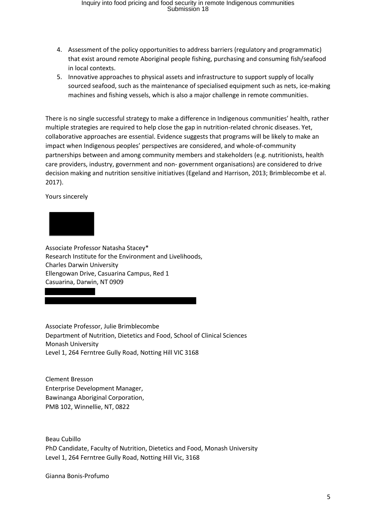- 4. Assessment of the policy opportunities to address barriers (regulatory and programmatic) that exist around remote Aboriginal people fishing, purchasing and consuming fish/seafood in local contexts.
- 5. Innovative approaches to physical assets and infrastructure to support supply of locally sourced seafood, such as the maintenance of specialised equipment such as nets, ice-making machines and fishing vessels, which is also a major challenge in remote communities.

There is no single successful strategy to make a difference in Indigenous communities' health, rather multiple strategies are required to help close the gap in nutrition-related chronic diseases. Yet, collaborative approaches are essential. Evidence suggests that programs will be likely to make an impact when Indigenous peoples' perspectives are considered, and whole-of-community partnerships between and among community members and stakeholders (e.g. nutritionists, health care providers, industry, government and non- government organisations) are considered to drive decision making and nutrition sensitive initiatives (Egeland and Harrison, 2013; Brimblecombe et al. 2017).

Yours sincerely



Associate Professor Natasha Stacey\* Research Institute for the Environment and Livelihoods, Charles Darwin University Ellengowan Drive, Casuarina Campus, Red 1 Casuarina, Darwin, NT 0909

Associate Professor, Julie Brimblecombe Department of Nutrition, Dietetics and Food, School of Clinical Sciences Monash University [Level 1, 264 Ferntree Gully Road,](https://aus01.safelinks.protection.outlook.com/?url=https%3A%2F%2Fmaps.google.com%2F%3Fq%3DLevel%2B1%2C%2B264%2BFerntree%2BGully%2BRoadNotting%2BHill%2BVIC%2B3168%2BAustralia%26entry%3Dgmail%26source%3Dg&data=02%7C01%7Cnatasha.stacey%40cdu.edu.au%7Cb78c004bb28243e202ff08d80e7530e6%7C9f2487678e1a42f3836fc092ab95ff70%7C0%7C0%7C637275243780922760&sdata=1GJ7lALOIXY1aCqR%2FHY1AwyZ%2BIsqiKDZXpVMk9BEBcA%3D&reserved=0) [Notting Hill VIC 3168](https://aus01.safelinks.protection.outlook.com/?url=https%3A%2F%2Fmaps.google.com%2F%3Fq%3DLevel%2B1%2C%2B264%2BFerntree%2BGully%2BRoadNotting%2BHill%2BVIC%2B3168%2BAustralia%26entry%3Dgmail%26source%3Dg&data=02%7C01%7Cnatasha.stacey%40cdu.edu.au%7Cb78c004bb28243e202ff08d80e7530e6%7C9f2487678e1a42f3836fc092ab95ff70%7C0%7C0%7C637275243780932755&sdata=pJ6bXzw3X6L1m4HDRhjErL7n82qamZPp3nCyJs2pq%2BU%3D&reserved=0)

Clement Bresson Enterprise Development Manager, Bawinanga Aboriginal Corporation, PMB 102, Winnellie, NT, 0822

Beau Cubillo PhD Candidate, Faculty of Nutrition, Dietetics and Food, Monash University [Level 1, 264 Ferntree Gully Road,](https://aus01.safelinks.protection.outlook.com/?url=https%3A%2F%2Fmaps.google.com%2F%3Fq%3DLevel%2B1%2C%2B264%2BFerntree%2BGully%2BRoadNotting%2BHill%2BVIC%2B3168%2BAustralia%26entry%3Dgmail%26source%3Dg&data=02%7C01%7Cnatasha.stacey%40cdu.edu.au%7Cb78c004bb28243e202ff08d80e7530e6%7C9f2487678e1a42f3836fc092ab95ff70%7C0%7C0%7C637275243780922760&sdata=1GJ7lALOIXY1aCqR%2FHY1AwyZ%2BIsqiKDZXpVMk9BEBcA%3D&reserved=0) [Notting Hill Vic, 3168](https://aus01.safelinks.protection.outlook.com/?url=https%3A%2F%2Fmaps.google.com%2F%3Fq%3DLevel%2B1%2C%2B264%2BFerntree%2BGully%2BRoadNotting%2BHill%2BVIC%2B3168%2BAustralia%26entry%3Dgmail%26source%3Dg&data=02%7C01%7Cnatasha.stacey%40cdu.edu.au%7Cb78c004bb28243e202ff08d80e7530e6%7C9f2487678e1a42f3836fc092ab95ff70%7C0%7C0%7C637275243780932755&sdata=pJ6bXzw3X6L1m4HDRhjErL7n82qamZPp3nCyJs2pq%2BU%3D&reserved=0)

Gianna Bonis-Profumo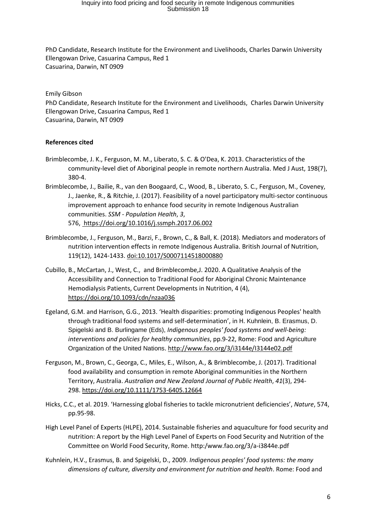PhD Candidate, Research Institute for the Environment and Livelihoods, Charles Darwin University Ellengowan Drive, Casuarina Campus, Red 1 Casuarina, Darwin, NT 0909

#### Emily Gibson

PhD Candidate, Research Institute for the Environment and Livelihoods, Charles Darwin University Ellengowan Drive, Casuarina Campus, Red 1 Casuarina, Darwin, NT 0909

#### **References cited**

- Brimblecombe, J. K., Ferguson, M. M., Liberato, S. C. & O'Dea, K. 2013. Characteristics of the community-level diet of Aboriginal people in remote northern Australia. Med J Aust, 198(7), 380-4.
- Brimblecombe, J., Bailie, R., van den Boogaard, C., Wood, B., Liberato, S. C., Ferguson, M., Coveney, J., Jaenke, R., & Ritchie, J. (2017). Feasibility of a novel participatory multi-sector continuous improvement approach to enhance food security in remote Indigenous Australian communities. *SSM - Population Health*, *3*, 576,<https://doi.org/10.1016/j.ssmph.2017.06.002>
- Brimblecombe, J., Ferguson, M., Barzi, F., Brown, C., & Ball, K. (2018). Mediators and moderators of nutrition intervention effects in remote Indigenous Australia. British Journal of Nutrition, 119(12), 1424-1433. doi:10.1017/S0007114518000880
- Cubillo, B., McCartan, J., West, C., and Brimblecombe,J. 2020. A Qualitative Analysis of the Accessibility and Connection to Traditional Food for Aboriginal Chronic Maintenance Hemodialysis Patients, Current Developments in Nutrition, 4 (4), <https://doi.org/10.1093/cdn/nzaa036>
- Egeland, G.M. and Harrison, G.G., 2013. 'Health disparities: promoting Indigenous Peoples' health through traditional food systems and self-determination', in H. Kuhnlein, B. Erasmus, D. Spigelski and B. Burlingame (Eds), *Indigenous peoples' food systems and well-being: interventions and policies for healthy communities*, pp.9-22, Rome: Food and Agriculture Organization of the United Nations.<http://www.fao.org/3/i3144e/I3144e02.pdf>
- Ferguson, M., Brown, C., Georga, C., Miles, E., Wilson, A., & Brimblecombe, J. (2017). Traditional food availability and consumption in remote Aboriginal communities in the Northern Territory, Australia. *Australian and New Zealand Journal of Public Health*, *41*(3), 294- 298. <https://doi.org/10.1111/1753-6405.12664>
- Hicks, C.C., et al. 2019. 'Harnessing global fisheries to tackle micronutrient deficiencies', *Nature*, 574, pp.95-98.
- High Level Panel of Experts (HLPE), 2014. Sustainable fisheries and aquaculture for food security and nutrition: A report by the High Level Panel of Experts on Food Security and Nutrition of the Committee on World Food Security, Rome. http:/www.fao.org/3/a-i3844e.pdf
- Kuhnlein, H.V., Erasmus, B. and Spigelski, D., 2009. *Indigenous peoples' food systems: the many dimensions of culture, diversity and environment for nutrition and health*. Rome: Food and